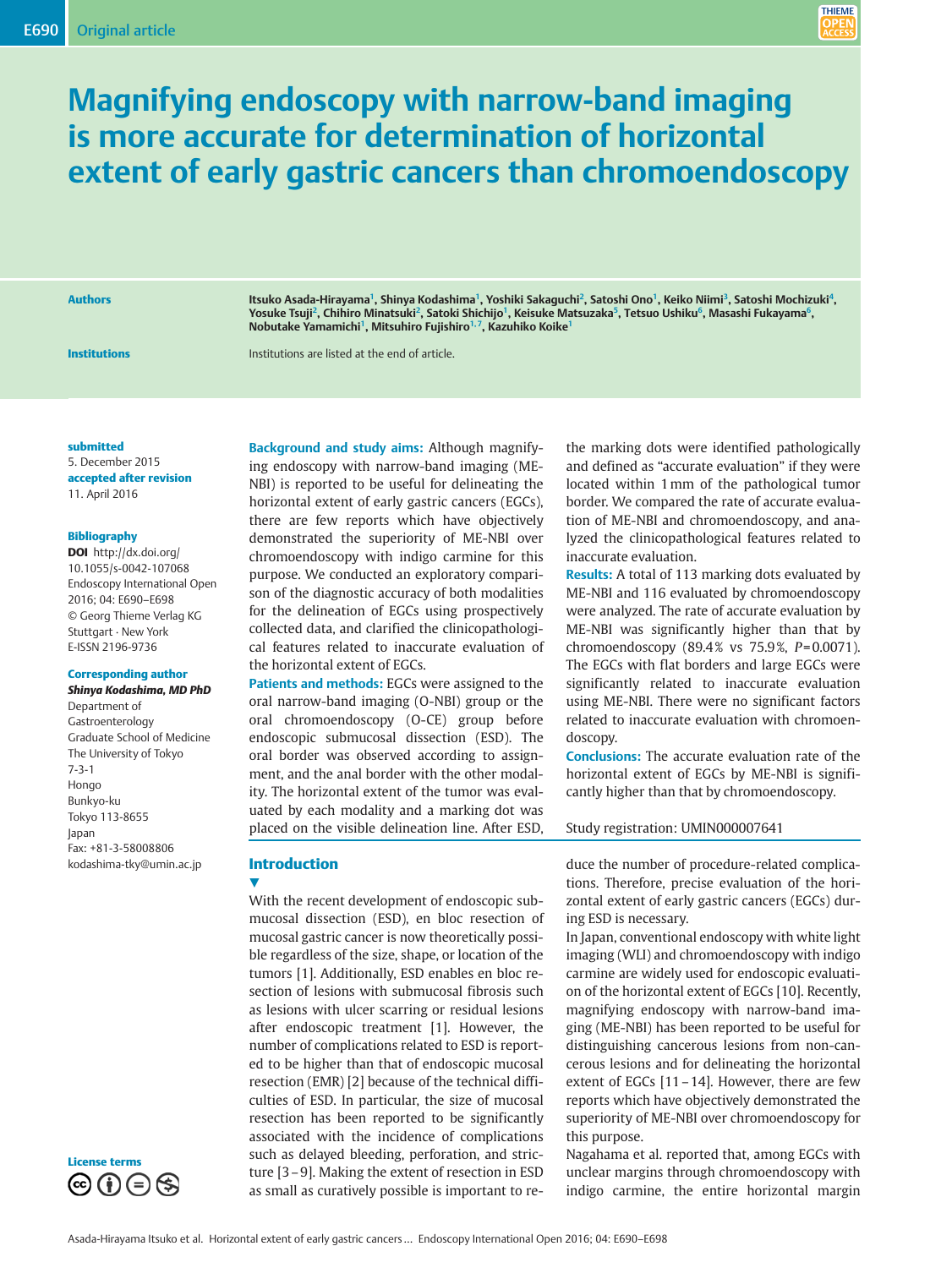

# Magnifying endoscopy with narrow-band imaging is more accurate for determination of horizontal extent of early gastric cancers than chromoendoscopy

Authors **Itsuko Asada-Hirayama<sup>1</sup>, Shinya Kodashima<sup>1</sup>, Yoshiki Sakaguchi<sup>2</sup>, Satoshi Ono<sup>1</sup>, Keiko Niimi<sup>3</sup>, Satoshi Mochizuki<sup>4</sup>,** Yosuke Tsuji<sup>2</sup>, Chihiro Minatsuki<sup>2</sup>, Satoki Shichijo<sup>1</sup>, Keisuke Matsuzaka<sup>5</sup>, Tetsuo Ushiku<sup>6</sup>, Masashi Fukayama<sup>6</sup>, Nobutake Yamamichi<sup>1</sup>, Mitsuhiro Fujishiro<sup>1,7</sup>, Kazuhiko Koike<sup>1</sup>

**Institutions Institutions Institutions** are listed at the end of article.

#### submitted

5. December 2015 accepted after revision 11. April 2016

#### Bibliography

DOI http://dx.doi.org/ 10.1055/s-0042-107068 Endoscopy International Open 2016; 04: E690–E698 © Georg Thieme Verlag KG Stuttgart · New York E-ISSN 2196-9736

#### Corresponding author

Shinya Kodashima, MD PhD Department of Gastroenterology Graduate School of Medicine The University of Tokyo 7-3-1 Hongo Bunkyo-ku Tokyo 113-8655 Japan Fax: +81-3-58008806 kodashima-tky@umin.ac.jp



Background and study aims: Although magnifying endoscopy with narrow-band imaging (ME-NBI) is reported to be useful for delineating the horizontal extent of early gastric cancers (EGCs), there are few reports which have objectively demonstrated the superiority of ME-NBI over chromoendoscopy with indigo carmine for this purpose. We conducted an exploratory comparison of the diagnostic accuracy of both modalities for the delineation of EGCs using prospectively collected data, and clarified the clinicopathological features related to inaccurate evaluation of the horizontal extent of EGCs.

Patients and methods: EGCs were assigned to the oral narrow-band imaging (O-NBI) group or the oral chromoendoscopy (O-CE) group before endoscopic submucosal dissection (ESD). The oral border was observed according to assignment, and the anal border with the other modality. The horizontal extent of the tumor was evaluated by each modality and a marking dot was placed on the visible delineation line. After ESD,

# Introduction

v,

With the recent development of endoscopic submucosal dissection (ESD), en bloc resection of mucosal gastric cancer is now theoretically possible regardless of the size, shape, or location of the tumors [1]. Additionally, ESD enables en bloc resection of lesions with submucosal fibrosis such as lesions with ulcer scarring or residual lesions after endoscopic treatment [1]. However, the number of complications related to ESD is reported to be higher than that of endoscopic mucosal resection (EMR) [2] because of the technical difficulties of ESD. In particular, the size of mucosal resection has been reported to be significantly associated with the incidence of complications such as delayed bleeding, perforation, and stricture [3–9]. Making the extent of resection in ESD as small as curatively possible is important to re-

the marking dots were identified pathologically and defined as "accurate evaluation" if they were located within 1mm of the pathological tumor border. We compared the rate of accurate evaluation of ME-NBI and chromoendoscopy, and analyzed the clinicopathological features related to inaccurate evaluation.

Results: A total of 113 marking dots evaluated by ME-NBI and 116 evaluated by chromoendoscopy were analyzed. The rate of accurate evaluation by ME-NBI was significantly higher than that by chromoendoscopy (89.4% vs 75.9%, P=0.0071). The EGCs with flat borders and large EGCs were significantly related to inaccurate evaluation using ME-NBI. There were no significant factors related to inaccurate evaluation with chromoendoscopy.

Conclusions: The accurate evaluation rate of the horizontal extent of EGCs by ME-NBI is significantly higher than that by chromoendoscopy.

## Study registration: UMIN000007641

duce the number of procedure-related complications. Therefore, precise evaluation of the horizontal extent of early gastric cancers (EGCs) during ESD is necessary.

In Japan, conventional endoscopy with white light imaging (WLI) and chromoendoscopy with indigo carmine are widely used for endoscopic evaluation of the horizontal extent of EGCs [10]. Recently, magnifying endoscopy with narrow-band imaging (ME-NBI) has been reported to be useful for distinguishing cancerous lesions from non-cancerous lesions and for delineating the horizontal extent of EGCs [11 – 14]. However, there are few reports which have objectively demonstrated the superiority of ME-NBI over chromoendoscopy for this purpose.

Nagahama et al. reported that, among EGCs with unclear margins through chromoendoscopy with indigo carmine, the entire horizontal margin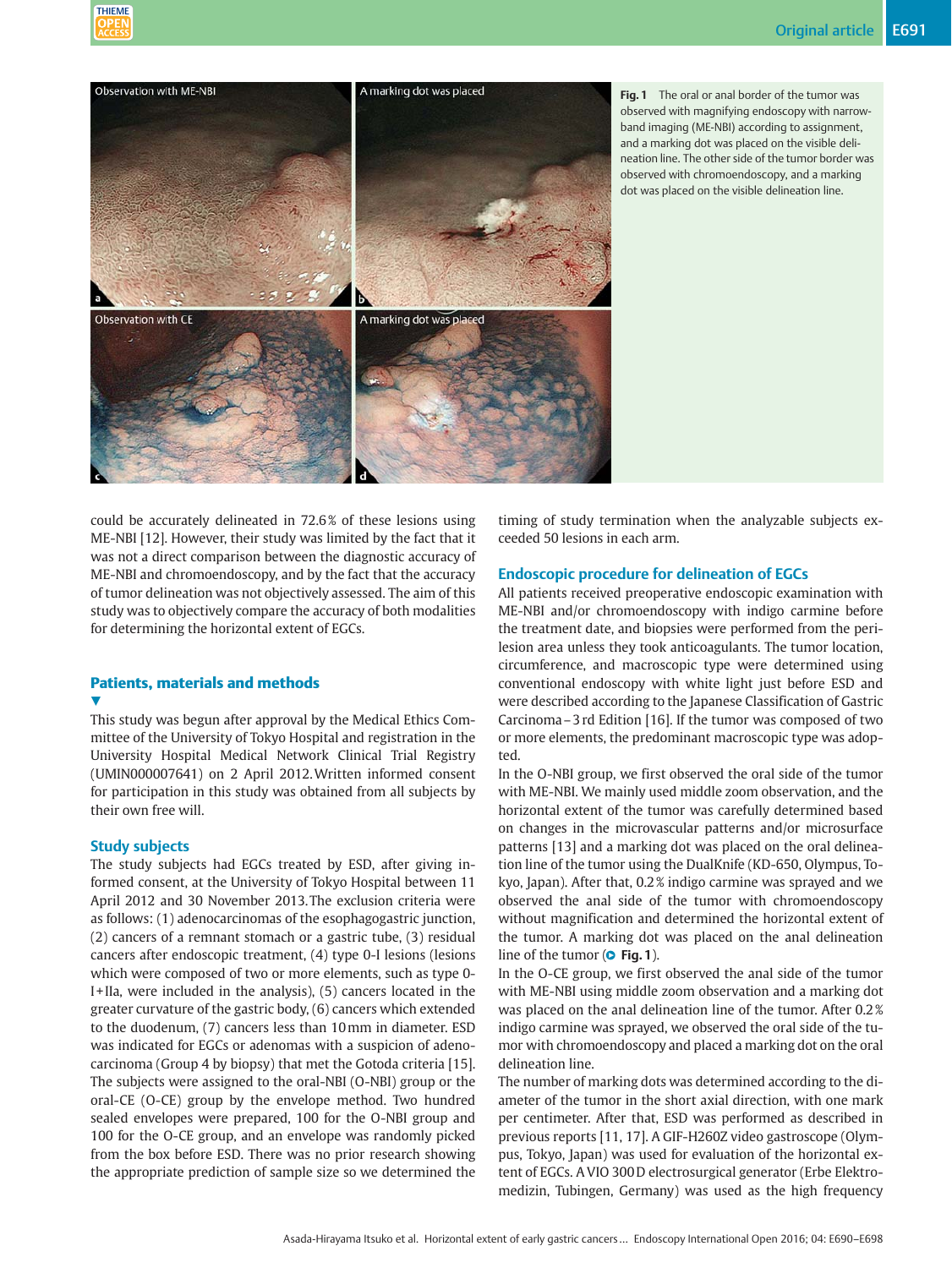



Fig. 1 The oral or anal border of the tumor was observed with magnifying endoscopy with narrowband imaging (ME-NBI) according to assignment, and a marking dot was placed on the visible delineation line. The other side of the tumor border was observed with chromoendoscopy, and a marking dot was placed on the visible delineation line.

could be accurately delineated in 72.6 % of these lesions using ME-NBI [12]. However, their study was limited by the fact that it was not a direct comparison between the diagnostic accuracy of ME-NBI and chromoendoscopy, and by the fact that the accuracy of tumor delineation was not objectively assessed. The aim of this study was to objectively compare the accuracy of both modalities for determining the horizontal extent of EGCs.

#### Patients, materials and methods

 $\blacktriangledown$ This study was begun after approval by the Medical Ethics Committee of the University of Tokyo Hospital and registration in the University Hospital Medical Network Clinical Trial Registry (UMIN000007641) on 2 April 2012.Written informed consent for participation in this study was obtained from all subjects by their own free will.

#### Study subjects

The study subjects had EGCs treated by ESD, after giving informed consent, at the University of Tokyo Hospital between 11 April 2012 and 30 November 2013. The exclusion criteria were as follows: (1) adenocarcinomas of the esophagogastric junction, (2) cancers of a remnant stomach or a gastric tube, (3) residual cancers after endoscopic treatment, (4) type 0-I lesions (lesions which were composed of two or more elements, such as type 0- I + IIa, were included in the analysis), (5) cancers located in the greater curvature of the gastric body, (6) cancers which extended to the duodenum, (7) cancers less than 10mm in diameter. ESD was indicated for EGCs or adenomas with a suspicion of adenocarcinoma (Group 4 by biopsy) that met the Gotoda criteria [15]. The subjects were assigned to the oral-NBI (O-NBI) group or the oral-CE (O-CE) group by the envelope method. Two hundred sealed envelopes were prepared, 100 for the O-NBI group and 100 for the O-CE group, and an envelope was randomly picked from the box before ESD. There was no prior research showing the appropriate prediction of sample size so we determined the timing of study termination when the analyzable subjects exceeded 50 lesions in each arm.

#### Endoscopic procedure for delineation of EGCs

All patients received preoperative endoscopic examination with ME-NBI and/or chromoendoscopy with indigo carmine before the treatment date, and biopsies were performed from the perilesion area unless they took anticoagulants. The tumor location, circumference, and macroscopic type were determined using conventional endoscopy with white light just before ESD and were described according to the Japanese Classification of Gastric Carcinoma–3 rd Edition [16]. If the tumor was composed of two or more elements, the predominant macroscopic type was adopted.

In the O-NBI group, we first observed the oral side of the tumor with ME-NBI. We mainly used middle zoom observation, and the horizontal extent of the tumor was carefully determined based on changes in the microvascular patterns and/or microsurface patterns [13] and a marking dot was placed on the oral delineation line of the tumor using the DualKnife (KD-650, Olympus, Tokyo, Japan). After that, 0.2 % indigo carmine was sprayed and we observed the anal side of the tumor with chromoendoscopy without magnification and determined the horizontal extent of the tumor. A marking dot was placed on the anal delineation line of the tumor  $($  Fig. 1 $)$ .

In the O-CE group, we first observed the anal side of the tumor with ME-NBI using middle zoom observation and a marking dot was placed on the anal delineation line of the tumor. After 0.2 % indigo carmine was sprayed, we observed the oral side of the tumor with chromoendoscopy and placed a marking dot on the oral delineation line.

The number of marking dots was determined according to the diameter of the tumor in the short axial direction, with one mark per centimeter. After that, ESD was performed as described in previous reports [11, 17]. A GIF-H260Z video gastroscope (Olympus, Tokyo, Japan) was used for evaluation of the horizontal extent of EGCs. A VIO 300 D electrosurgical generator (Erbe Elektromedizin, Tubingen, Germany) was used as the high frequency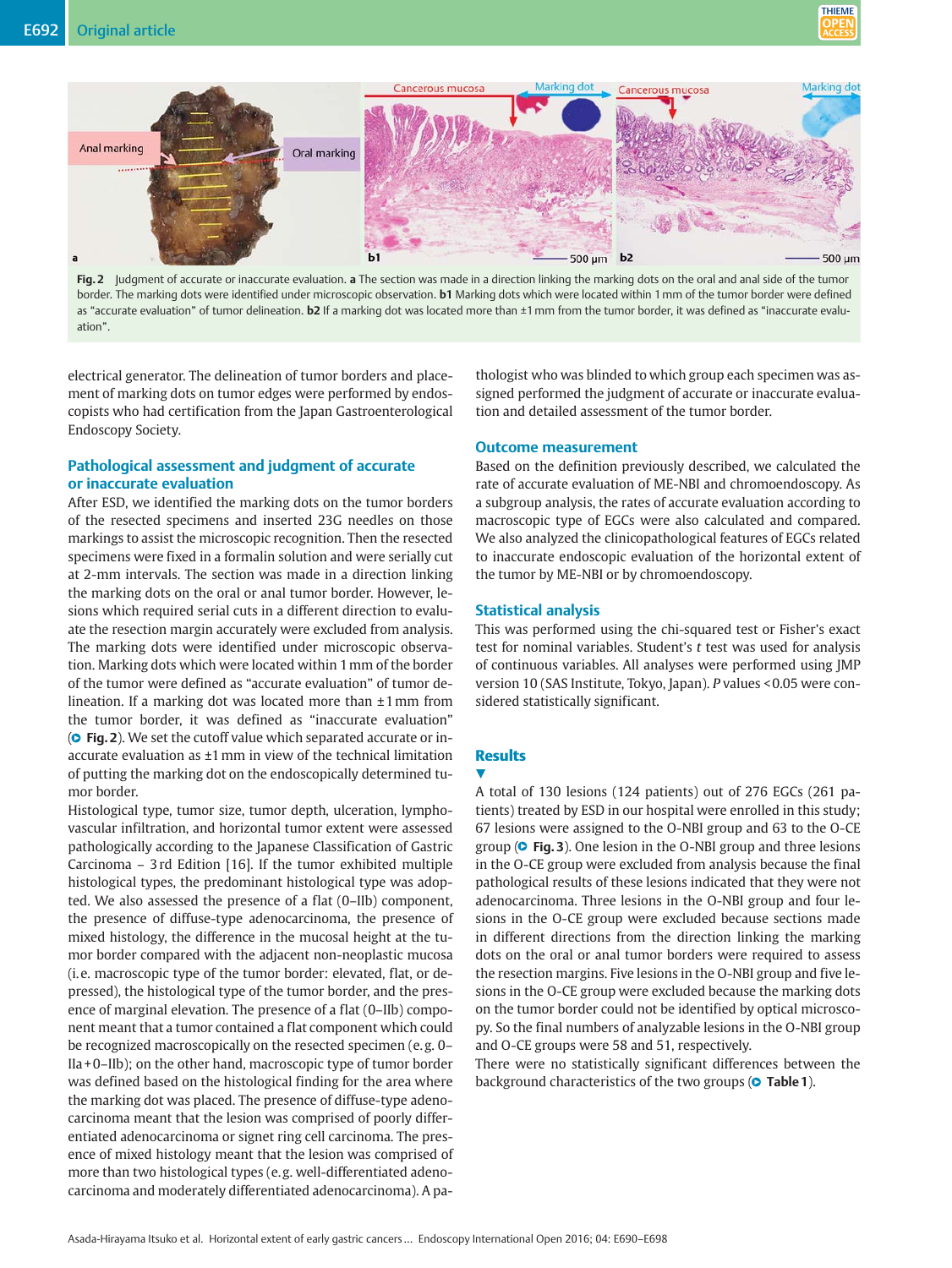



Fig. 2 Judgment of accurate or inaccurate evaluation. a The section was made in a direction linking the marking dots on the oral and anal side of the tumor border. The marking dots were identified under microscopic observation. b1 Marking dots which were located within 1 mm of the tumor border were defined as "accurate evaluation" of tumor delineation. b2 If a marking dot was located more than ±1 mm from the tumor border, it was defined as "inaccurate evaluation".

electrical generator. The delineation of tumor borders and placement of marking dots on tumor edges were performed by endoscopists who had certification from the Japan Gastroenterological Endoscopy Society.

# Pathological assessment and judgment of accurate or inaccurate evaluation

After ESD, we identified the marking dots on the tumor borders of the resected specimens and inserted 23G needles on those markings to assist the microscopic recognition. Then the resected specimens were fixed in a formalin solution and were serially cut at 2-mm intervals. The section was made in a direction linking the marking dots on the oral or anal tumor border. However, lesions which required serial cuts in a different direction to evaluate the resection margin accurately were excluded from analysis. The marking dots were identified under microscopic observation. Marking dots which were located within 1mm of the border of the tumor were defined as "accurate evaluation" of tumor delineation. If a marking dot was located more than ± 1mm from the tumor border, it was defined as "inaccurate evaluation" (● " Fig. 2). We set the cutoff value which separated accurate or inaccurate evaluation as ±1mm in view of the technical limitation of putting the marking dot on the endoscopically determined tumor border.

Histological type, tumor size, tumor depth, ulceration, lymphovascular infiltration, and horizontal tumor extent were assessed pathologically according to the Japanese Classification of Gastric Carcinoma – 3 rd Edition [16]. If the tumor exhibited multiple histological types, the predominant histological type was adopted. We also assessed the presence of a flat (0–IIb) component, the presence of diffuse-type adenocarcinoma, the presence of mixed histology, the difference in the mucosal height at the tumor border compared with the adjacent non-neoplastic mucosa (i. e. macroscopic type of the tumor border: elevated, flat, or depressed), the histological type of the tumor border, and the presence of marginal elevation. The presence of a flat (0–IIb) component meant that a tumor contained a flat component which could be recognized macroscopically on the resected specimen (e. g. 0–  $IIa + 0$ – $IIb$ ); on the other hand, macroscopic type of tumor border was defined based on the histological finding for the area where the marking dot was placed. The presence of diffuse-type adenocarcinoma meant that the lesion was comprised of poorly differentiated adenocarcinoma or signet ring cell carcinoma. The presence of mixed histology meant that the lesion was comprised of more than two histological types (e. g. well-differentiated adenocarcinoma and moderately differentiated adenocarcinoma). A pathologist who was blinded to which group each specimen was assigned performed the judgment of accurate or inaccurate evaluation and detailed assessment of the tumor border.

#### Outcome measurement

Based on the definition previously described, we calculated the rate of accurate evaluation of ME-NBI and chromoendoscopy. As a subgroup analysis, the rates of accurate evaluation according to macroscopic type of EGCs were also calculated and compared. We also analyzed the clinicopathological features of EGCs related to inaccurate endoscopic evaluation of the horizontal extent of the tumor by ME-NBI or by chromoendoscopy.

#### Statistical analysis

This was performed using the chi-squared test or Fisher's exact test for nominal variables. Student's  $t$  test was used for analysis of continuous variables. All analyses were performed using JMP version 10 (SAS Institute, Tokyo, Japan). P values < 0.05 were considered statistically significant.

# **Results**

 $\blacktriangledown$ 

A total of 130 lesions (124 patients) out of 276 EGCs (261 patients) treated by ESD in our hospital were enrolled in this study; 67 lesions were assigned to the O-NBI group and 63 to the O-CE group (**© Fig. 3**). One lesion in the O-NBI group and three lesions in the O-CE group were excluded from analysis because the final pathological results of these lesions indicated that they were not adenocarcinoma. Three lesions in the O-NBI group and four lesions in the O-CE group were excluded because sections made in different directions from the direction linking the marking dots on the oral or anal tumor borders were required to assess the resection margins. Five lesions in the O-NBI group and five lesions in the O-CE group were excluded because the marking dots on the tumor border could not be identified by optical microscopy. So the final numbers of analyzable lesions in the O-NBI group and O-CE groups were 58 and 51, respectively.

There were no statistically significant differences between the background characteristics of the two groups (**O** Table 1).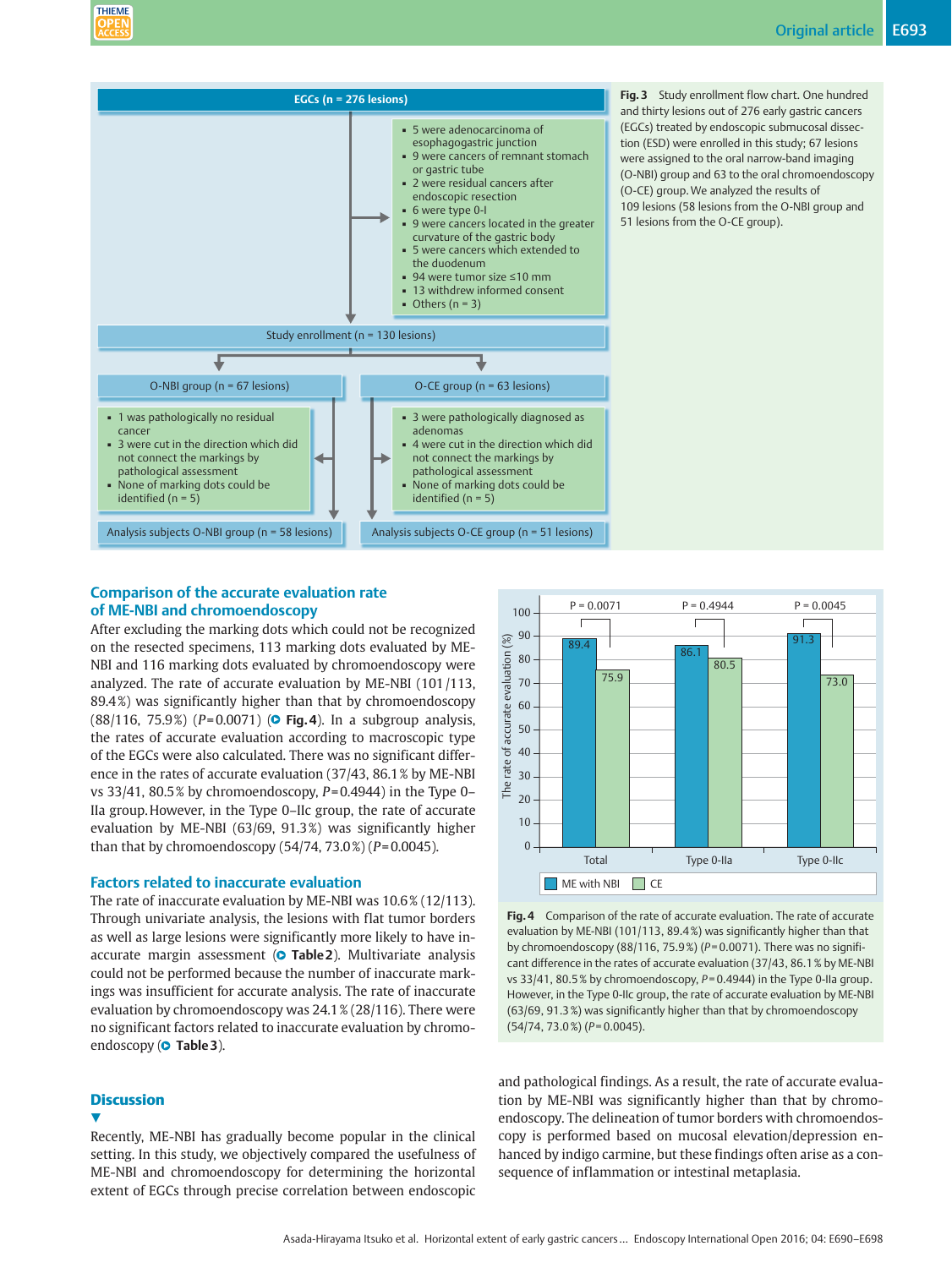

# Comparison of the accurate evaluation rate of ME-NBI and chromoendoscopy

After excluding the marking dots which could not be recognized on the resected specimens, 113 marking dots evaluated by ME-NBI and 116 marking dots evaluated by chromoendoscopy were analyzed. The rate of accurate evaluation by ME-NBI (101 /113, 89.4%) was significantly higher than that by chromoendoscopy  $(88/116, 75.9%)$   $(P=0.0071)$  ( $\bullet$  Fig.4). In a subgroup analysis, the rates of accurate evaluation according to macroscopic type of the EGCs were also calculated. There was no significant difference in the rates of accurate evaluation (37/43, 86.1 % by ME-NBI vs 33/41, 80.5% by chromoendoscopy,  $P=0.4944$ ) in the Type 0– IIa group. However, in the Type 0–IIc group, the rate of accurate evaluation by ME-NBI (63/69, 91.3 %) was significantly higher than that by chromoendoscopy  $(54/74, 73.0%) (P=0.0045)$ .

#### Factors related to inaccurate evaluation

The rate of inaccurate evaluation by ME-NBI was 10.6 % (12/113). Through univariate analysis, the lesions with flat tumor borders as well as large lesions were significantly more likely to have inaccurate margin assessment (**© Table2**). Multivariate analysis could not be performed because the number of inaccurate markings was insufficient for accurate analysis. The rate of inaccurate evaluation by chromoendoscopy was 24.1 % (28/116). There were no significant factors related to inaccurate evaluation by chromoendoscopy (**© Table 3**).

# **Discussion**

#### V,

Recently, ME-NBI has gradually become popular in the clinical setting. In this study, we objectively compared the usefulness of ME-NBI and chromoendoscopy for determining the horizontal extent of EGCs through precise correlation between endoscopic





and pathological findings. As a result, the rate of accurate evaluation by ME-NBI was significantly higher than that by chromoendoscopy. The delineation of tumor borders with chromoendoscopy is performed based on mucosal elevation/depression enhanced by indigo carmine, but these findings often arise as a consequence of inflammation or intestinal metaplasia.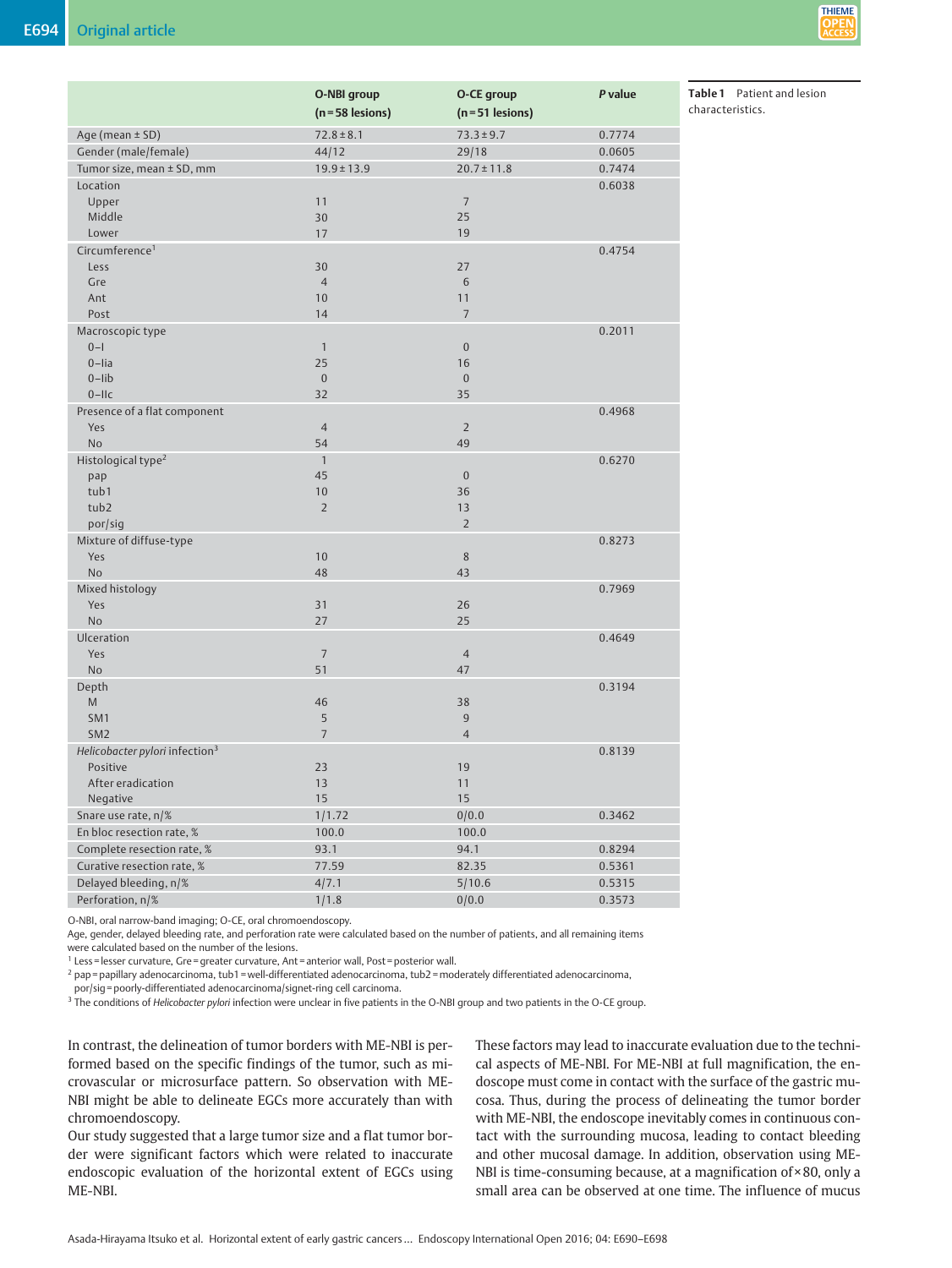

Table 1 Patient and lesion characteristics.

|                                            | O-NBI group      | O-CE group       | P value |
|--------------------------------------------|------------------|------------------|---------|
|                                            | $(n=58$ lesions) | $(n=51$ lesions) |         |
| Age (mean ± SD)                            | $72.8 \pm 8.1$   | $73.3 \pm 9.7$   | 0.7774  |
| Gender (male/female)                       | 44/12            | 29/18            | 0.0605  |
| Tumor size, mean ± SD, mm                  | $19.9 \pm 13.9$  | $20.7 \pm 11.8$  | 0.7474  |
| Location                                   |                  |                  | 0.6038  |
| Upper                                      | 11               | $\overline{7}$   |         |
| Middle                                     | 30               | 25               |         |
| Lower                                      | 17               | 19               |         |
| Circumference <sup>1</sup>                 |                  |                  | 0.4754  |
| Less                                       | 30               | 27               |         |
| Gre                                        | $\overline{4}$   | $\sqrt{6}$       |         |
| Ant                                        | 10               | 11               |         |
| Post                                       | 14               | $\overline{7}$   |         |
| Macroscopic type                           |                  |                  | 0.2011  |
| $0 - 1$                                    | $\overline{1}$   | $\mathbf{0}$     |         |
| $0$ -lia                                   | 25               | 16               |         |
| $0$ -lib                                   | $\boldsymbol{0}$ | $\boldsymbol{0}$ |         |
| $0$ -IIc                                   | 32               | 35               |         |
| Presence of a flat component               |                  |                  | 0.4968  |
| Yes                                        | $\overline{4}$   | $\overline{2}$   |         |
| No                                         | 54               | 49               |         |
| Histological type <sup>2</sup>             | $\mathbf{1}$     |                  | 0.6270  |
| pap                                        | 45               | $\mathbf{0}$     |         |
| tub1                                       | 10               | 36               |         |
| tub2                                       | $\overline{2}$   | 13               |         |
| por/sig                                    |                  | $\overline{2}$   |         |
| Mixture of diffuse-type                    |                  |                  | 0.8273  |
| Yes                                        | 10               | 8                |         |
| <b>No</b>                                  | 48               | 43               |         |
| Mixed histology                            |                  |                  | 0.7969  |
| Yes                                        | 31               | 26               |         |
| <b>No</b>                                  | 27               | 25               |         |
| Ulceration                                 |                  |                  | 0.4649  |
| Yes                                        | $\overline{7}$   | $\overline{4}$   |         |
| No                                         | 51               | 47               |         |
| Depth                                      |                  |                  | 0.3194  |
| M                                          | 46               | 38               |         |
| SM <sub>1</sub>                            | 5                | 9                |         |
| SM <sub>2</sub>                            | $\overline{7}$   | $\overline{4}$   |         |
| Helicobacter pylori infection <sup>3</sup> |                  |                  | 0.8139  |
| Positive                                   | 23               | 19               |         |
| After eradication                          | 13               | 11               |         |
| Negative                                   | 15               | 15               |         |
| Snare use rate, n/%                        | 1/1.72           | 0/0.0            | 0.3462  |
| En bloc resection rate, %                  | 100.0            | 100.0            |         |
| Complete resection rate, %                 | 93.1             | 94.1             | 0.8294  |
| Curative resection rate, %                 | 77.59            | 82.35            | 0.5361  |
| Delayed bleeding, n/%                      | 4/7.1            | 5/10.6           | 0.5315  |
| Perforation, n/%                           | 1/1.8            | 0/0.0            | 0.3573  |

O-NBI, oral narrow-band imaging; O-CE, oral chromoendoscopy.

Age, gender, delayed bleeding rate, and perforation rate were calculated based on the number of patients, and all remaining items were calculated based on the number of the lesions.

<sup>1</sup> Less = lesser curvature, Gre = greater curvature, Ant = anterior wall, Post = posterior wall.

 $2$  pap = papillary adenocarcinoma, tub1 = well-differentiated adenocarcinoma, tub2 = moderately differentiated adenocarcinoma,

por/sig = poorly-differentiated adenocarcinoma/signet-ring cell carcinoma.

<sup>3</sup> The conditions of Helicobacter pylori infection were unclear in five patients in the O-NBI group and two patients in the O-CE group.

In contrast, the delineation of tumor borders with ME-NBI is performed based on the specific findings of the tumor, such as microvascular or microsurface pattern. So observation with ME-NBI might be able to delineate EGCs more accurately than with chromoendoscopy.

Our study suggested that a large tumor size and a flat tumor border were significant factors which were related to inaccurate endoscopic evaluation of the horizontal extent of EGCs using ME-NBI.

These factors may lead to inaccurate evaluation due to the technical aspects of ME-NBI. For ME-NBI at full magnification, the endoscope must come in contact with the surface of the gastric mucosa. Thus, during the process of delineating the tumor border with ME-NBI, the endoscope inevitably comes in continuous contact with the surrounding mucosa, leading to contact bleeding and other mucosal damage. In addition, observation using ME-NBI is time-consuming because, at a magnification of × 80, only a small area can be observed at one time. The influence of mucus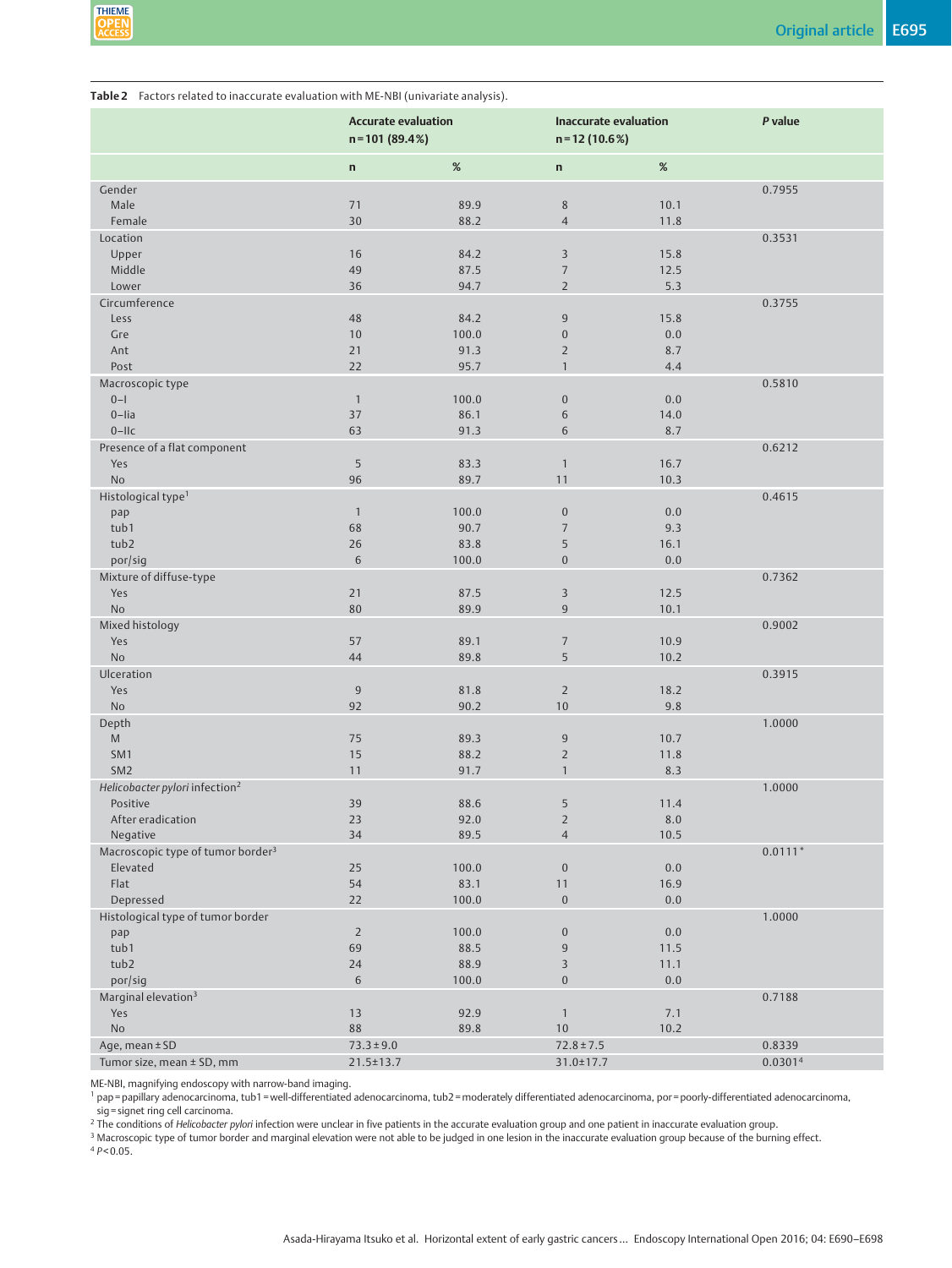## Table 2 Factors related to inaccurate evaluation with ME-NBI (univariate analysis).

|                                               | <b>Accurate evaluation</b><br>$n = 101(89.4%)$ |       | <b>Inaccurate evaluation</b><br>$n = 12(10.6%)$ |          | P value             |
|-----------------------------------------------|------------------------------------------------|-------|-------------------------------------------------|----------|---------------------|
|                                               | $\mathsf{n}$                                   | $\%$  | $\mathsf{n}$                                    | $\%$     |                     |
| Gender                                        |                                                |       |                                                 |          | 0.7955              |
| Male                                          | 71                                             | 89.9  | $8\,$                                           | 10.1     |                     |
| Female                                        | 30                                             | 88.2  | $\overline{4}$                                  | 11.8     |                     |
| Location                                      |                                                |       |                                                 |          | 0.3531              |
| Upper                                         | 16                                             | 84.2  | 3                                               | 15.8     |                     |
| Middle                                        | 49                                             | 87.5  | $\overline{7}$                                  | 12.5     |                     |
| Lower                                         | 36                                             | 94.7  | $\overline{2}$                                  | 5.3      |                     |
| Circumference                                 |                                                |       |                                                 |          | 0.3755              |
| Less                                          | 48                                             | 84.2  | 9                                               | 15.8     |                     |
| Gre                                           | 10                                             | 100.0 | $\boldsymbol{0}$                                | 0.0      |                     |
| Ant                                           | 21                                             | 91.3  | $\overline{2}$                                  | 8.7      |                     |
| Post                                          | 22                                             | 95.7  | $\mathbf{1}$                                    | 4.4      |                     |
| Macroscopic type                              |                                                |       |                                                 |          | 0.5810              |
| $0 - I$                                       | $\overline{1}$                                 | 100.0 | $\mathbf{0}$                                    | 0.0      |                     |
| $0$ -lia                                      | 37                                             | 86.1  | 6                                               | 14.0     |                     |
| $0$ -IIc                                      | 63                                             | 91.3  | 6                                               | 8.7      |                     |
| Presence of a flat component                  |                                                |       |                                                 |          | 0.6212              |
| Yes                                           | 5                                              | 83.3  | $\overline{1}$                                  | 16.7     |                     |
| $\rm No$                                      | 96                                             | 89.7  | 11                                              | 10.3     |                     |
| Histological type <sup>1</sup>                |                                                |       |                                                 |          | 0.4615              |
| pap                                           | $\mathbf{1}$                                   | 100.0 | $\boldsymbol{0}$                                | 0.0      |                     |
| tub1                                          | 68                                             | 90.7  | $\overline{7}$                                  | 9.3      |                     |
| tub2                                          | 26                                             | 83.8  | 5                                               | 16.1     |                     |
| por/sig                                       | 6                                              | 100.0 | $\mathbf{0}$                                    | 0.0      |                     |
| Mixture of diffuse-type                       |                                                |       |                                                 |          | 0.7362              |
| Yes                                           | 21                                             | 87.5  | $\overline{3}$                                  | 12.5     |                     |
| <b>No</b>                                     | 80                                             | 89.9  | $\overline{9}$                                  | 10.1     |                     |
| Mixed histology                               |                                                |       |                                                 |          | 0.9002              |
| Yes                                           | 57                                             | 89.1  | $\overline{7}$                                  | 10.9     |                     |
| <b>No</b>                                     | 44                                             | 89.8  | 5                                               | 10.2     |                     |
| Ulceration                                    |                                                |       |                                                 |          | 0.3915              |
| Yes                                           | $\boldsymbol{9}$                               | 81.8  | $\overline{2}$                                  | 18.2     |                     |
| $\rm No$                                      | 92                                             | 90.2  | 10                                              | 9.8      |                     |
| Depth                                         |                                                |       |                                                 |          | 1.0000              |
| M                                             | 75                                             | 89.3  | 9                                               | 10.7     |                     |
| SM1                                           | 15                                             | 88.2  | $\overline{2}$                                  | 11.8     |                     |
| SM <sub>2</sub>                               | 11                                             | 91.7  | $\mathbf{1}$                                    | 8.3      |                     |
| Helicobacter pylori infection <sup>2</sup>    |                                                |       |                                                 |          | 1.0000              |
| Positive                                      | 39                                             | 88.6  | 5                                               | 11.4     |                     |
| After eradication                             | 23                                             | 92.0  | $\overline{2}$                                  | 8.0      |                     |
| Negative                                      | 34                                             | 89.5  | $\overline{4}$                                  | $10.5\,$ |                     |
| Macroscopic type of tumor border <sup>3</sup> |                                                |       |                                                 |          | $0.0111*$           |
| Elevated                                      | 25                                             | 100.0 | $\mathbf 0$                                     | 0.0      |                     |
| Flat                                          | 54                                             | 83.1  | 11                                              | 16.9     |                     |
| Depressed                                     | 22                                             | 100.0 | $\boldsymbol{0}$                                | 0.0      |                     |
| Histological type of tumor border             |                                                |       |                                                 |          | 1.0000              |
| pap                                           | $\overline{2}$                                 | 100.0 | $\boldsymbol{0}$                                | 0.0      |                     |
| tub1                                          | 69                                             | 88.5  | $9\,$                                           | 11.5     |                     |
| tub2                                          | 24                                             | 88.9  | $\overline{3}$                                  | 11.1     |                     |
| por/sig                                       | 6                                              | 100.0 | $\mathbf 0$                                     | 0.0      |                     |
| Marginal elevation <sup>3</sup>               |                                                |       |                                                 |          | 0.7188              |
| Yes                                           | 13                                             | 92.9  | $\overline{1}$                                  | 7.1      |                     |
| No                                            | 88                                             | 89.8  | 10                                              | 10.2     |                     |
| Age, mean ± SD                                | $73.3 \pm 9.0$                                 |       | $72.8 \pm 7.5$                                  |          | 0.8339              |
| Tumor size, mean ± SD, mm                     | $21.5 \pm 13.7$                                |       | $31.0 \pm 17.7$                                 |          | 0.0301 <sup>4</sup> |

ME-NBI, magnifying endoscopy with narrow-band imaging.<br><sup>1</sup> pap = papillary adenocarcinoma, tub1 = well-differentiated adenocarcinoma, tub2 = moderately differentiated adenocarcinoma, por = poorly-differentiated adenocarcin

sig = signet ring cell carcinoma.

<sup>2</sup> The conditions of Helicobacter pylori infection were unclear in five patients in the accurate evaluation group and one patient in inaccurate evaluation group.

<sup>3</sup> Macroscopic type of tumor border and marginal elevation were not able to be judged in one lesion in the inaccurate evaluation group because of the burning effect.

 $4 p < 0.05$ .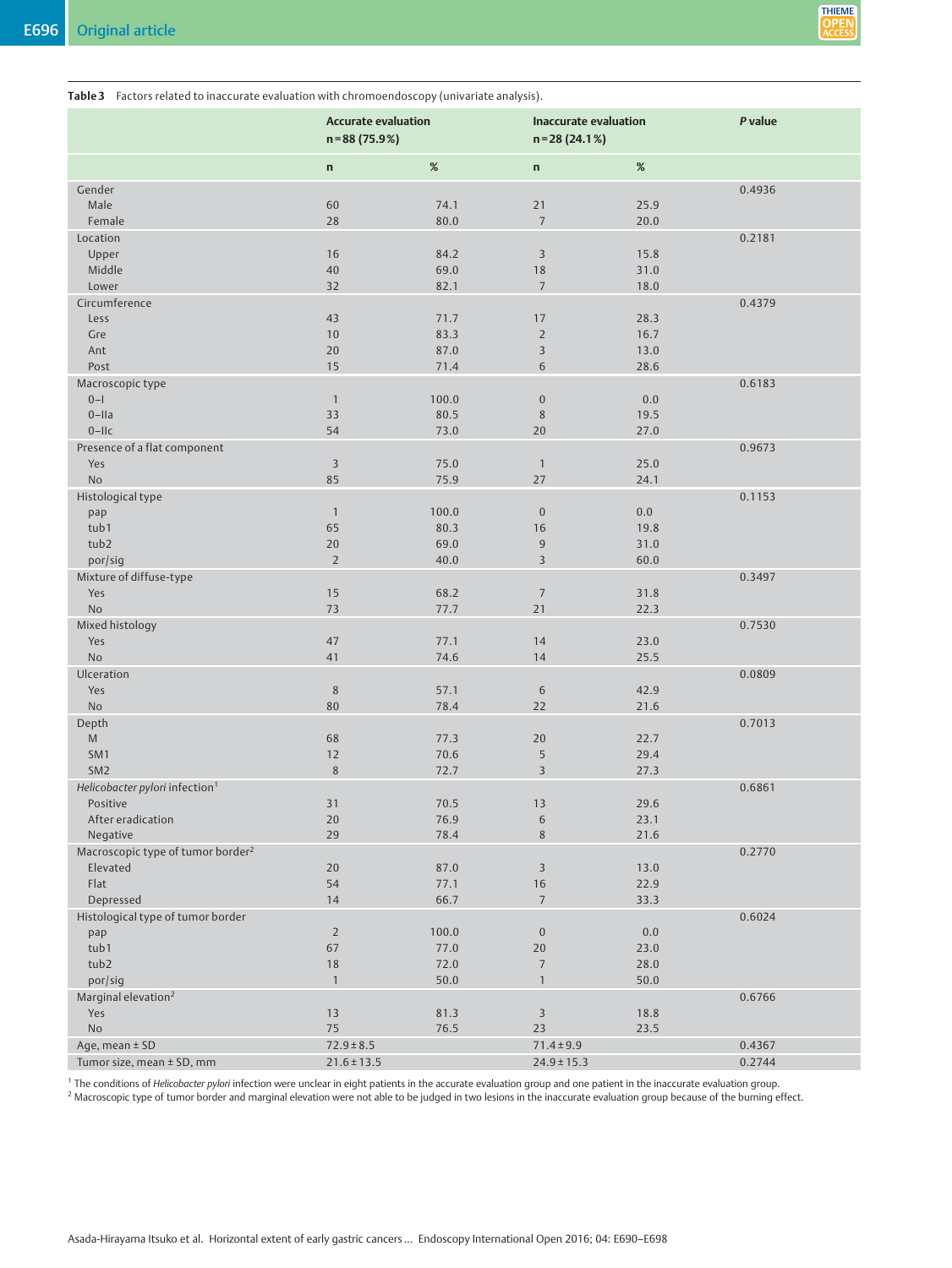

Table 3 Factors related to inaccurate evaluation with chromoendoscopy (univariate analysis).

|                                               | <b>Accurate evaluation</b><br>$n = 88(75.9%)$ |       | <b>Inaccurate evaluation</b><br>$n = 28(24.1%)$ |         | P value |
|-----------------------------------------------|-----------------------------------------------|-------|-------------------------------------------------|---------|---------|
|                                               | $\mathsf{n}$                                  | $\%$  | $\mathsf{n}$                                    | $\%$    |         |
| Gender                                        |                                               |       |                                                 |         | 0.4936  |
| Male                                          | 60                                            | 74.1  | 21                                              | 25.9    |         |
| Female                                        | 28                                            | 80.0  | $\overline{7}$                                  | 20.0    |         |
| Location                                      |                                               |       |                                                 |         | 0.2181  |
| Upper                                         | 16                                            | 84.2  | $\overline{3}$                                  | 15.8    |         |
| Middle                                        | 40                                            | 69.0  | 18                                              | 31.0    |         |
| Lower                                         | 32                                            | 82.1  | $\overline{7}$                                  | 18.0    |         |
| Circumference                                 |                                               |       |                                                 |         | 0.4379  |
| Less                                          | 43                                            | 71.7  | 17                                              | 28.3    |         |
| Gre                                           | 10                                            | 83.3  | $\overline{2}$                                  | 16.7    |         |
| Ant                                           | 20                                            | 87.0  | 3                                               | 13.0    |         |
| Post                                          | 15                                            | 71.4  | 6                                               | 28.6    |         |
| Macroscopic type                              |                                               |       |                                                 |         | 0.6183  |
| $0 - 1$                                       | $\mathbf{1}$                                  | 100.0 | $\mathbf{0}$                                    | 0.0     |         |
| $0$ -lla                                      | 33                                            | 80.5  | 8                                               | 19.5    |         |
| $0$ -IIc                                      | 54                                            | 73.0  | 20                                              | 27.0    |         |
| Presence of a flat component                  |                                               |       |                                                 |         | 0.9673  |
| Yes                                           | $\overline{3}$                                | 75.0  | $\overline{1}$                                  | 25.0    |         |
| No                                            | 85                                            | 75.9  | 27                                              | 24.1    |         |
|                                               |                                               |       |                                                 |         | 0.1153  |
| Histological type                             | $\mathbf{1}$                                  | 100.0 | $\mathbf{0}$                                    | 0.0     |         |
| pap<br>tub1                                   | 65                                            | 80.3  |                                                 |         |         |
| tub2                                          | 20                                            |       | 16                                              | 19.8    |         |
|                                               |                                               | 69.0  | 9                                               | 31.0    |         |
| por/sig                                       | $\overline{2}$                                | 40.0  | 3                                               | 60.0    |         |
| Mixture of diffuse-type                       |                                               |       |                                                 |         | 0.3497  |
| Yes                                           | 15                                            | 68.2  | $\overline{7}$                                  | 31.8    |         |
| No                                            | 73                                            | 77.7  | 21                                              | 22.3    |         |
| Mixed histology                               |                                               |       |                                                 |         | 0.7530  |
| Yes                                           | 47                                            | 77.1  | 14                                              | 23.0    |         |
| No                                            | 41                                            | 74.6  | 14                                              | 25.5    |         |
| Ulceration                                    |                                               |       |                                                 |         | 0.0809  |
| Yes                                           | $\,8$                                         | 57.1  | 6                                               | 42.9    |         |
| No                                            | 80                                            | 78.4  | 22                                              | 21.6    |         |
| Depth                                         |                                               |       |                                                 |         | 0.7013  |
| ${\sf M}$                                     | 68                                            | 77.3  | 20                                              | 22.7    |         |
| SM1                                           | 12                                            | 70.6  | 5                                               | 29.4    |         |
| SM <sub>2</sub>                               | $\,8\,$                                       | 72.7  | $\overline{3}$                                  | 27.3    |         |
| Helicobacter pylori infection <sup>1</sup>    |                                               |       |                                                 |         | 0.6861  |
| Positive                                      | 31                                            | 70.5  | 13                                              | 29.6    |         |
| After eradication                             | 20                                            | 76.9  | 6                                               | 23.1    |         |
| Negative                                      | 29                                            | 78.4  | $\,8\,$                                         | 21.6    |         |
| Macroscopic type of tumor border <sup>2</sup> |                                               |       |                                                 |         | 0.2770  |
| Elevated                                      | $20\,$                                        | 87.0  | $\overline{3}$                                  | 13.0    |         |
| Flat                                          | 54                                            | 77.1  | $16$                                            | 22.9    |         |
| Depressed                                     | 14                                            | 66.7  | $\overline{7}$                                  | 33.3    |         |
| Histological type of tumor border             |                                               |       |                                                 |         | 0.6024  |
| pap                                           | $\overline{2}$                                | 100.0 | $\theta$                                        | $0.0\,$ |         |
| tub1                                          | 67                                            | 77.0  | $20\,$                                          | 23.0    |         |
| tub2                                          | 18                                            | 72.0  | $\overline{7}$                                  | 28.0    |         |
| por/sig                                       | $\mathbf{1}$                                  | 50.0  | $\mathbf{1}$                                    | 50.0    |         |
| Marginal elevation <sup>2</sup>               |                                               |       |                                                 |         | 0.6766  |
| Yes                                           | 13                                            | 81.3  | $\overline{3}$                                  | 18.8    |         |
| $\rm No$                                      | 75                                            | 76.5  | 23                                              | 23.5    |         |
| Age, mean ± SD                                | $72.9 \pm 8.5$                                |       | $71.4 \pm 9.9$                                  |         | 0.4367  |
| Tumor size, mean ± SD, mm                     | $21.6 \pm 13.5$                               |       | $24.9 \pm 15.3$                                 |         | 0.2744  |

<sup>1</sup> The conditions of Helicobacter pylori infection were unclear in eight patients in the accurate evaluation group.

<sup>2</sup> Macroscopic type of tumor border and marginal elevation were not able to be judged in two lesions in the inaccurate evaluation group because of the burning effect.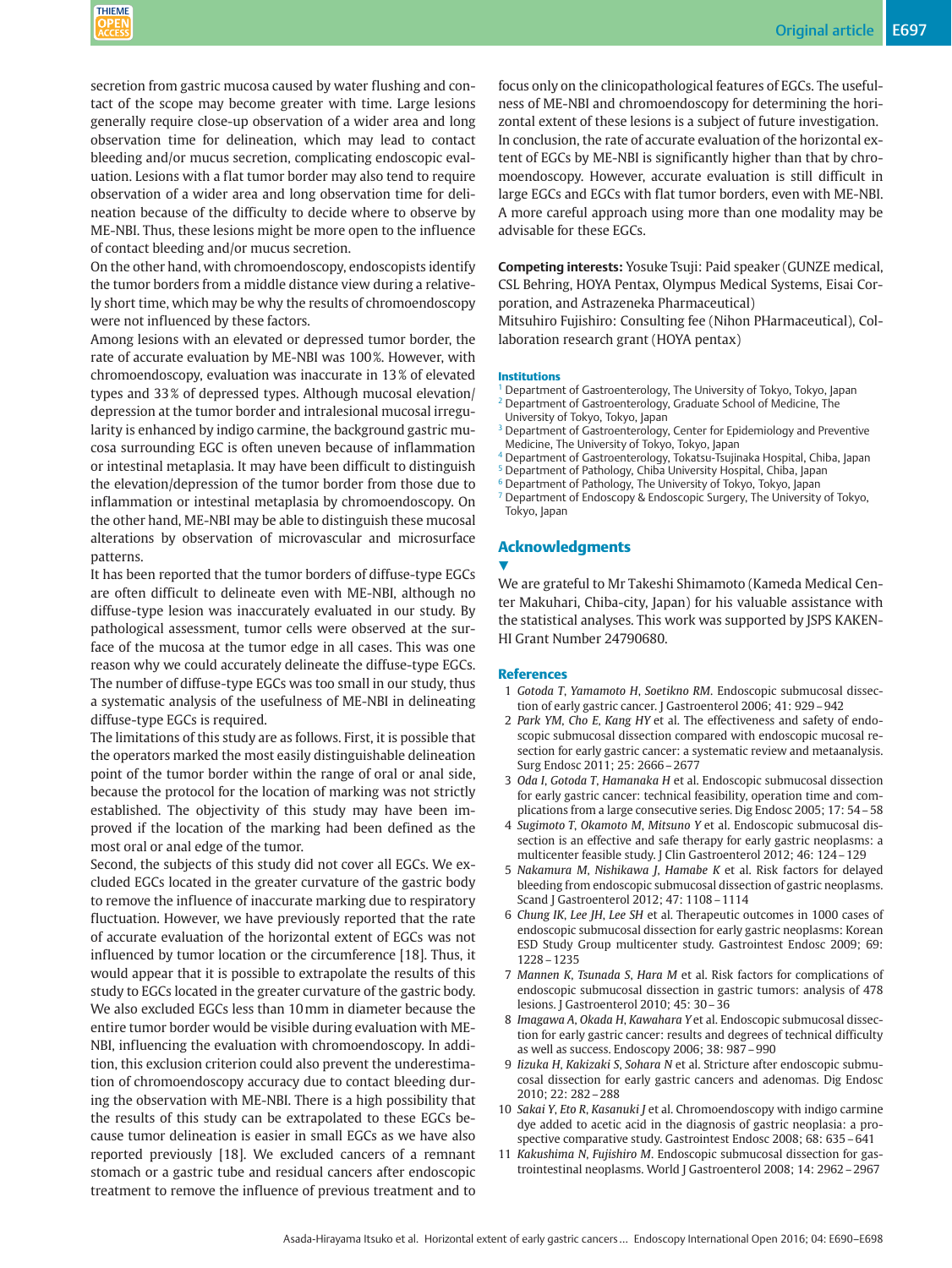

secretion from gastric mucosa caused by water flushing and contact of the scope may become greater with time. Large lesions generally require close-up observation of a wider area and long observation time for delineation, which may lead to contact bleeding and/or mucus secretion, complicating endoscopic evaluation. Lesions with a flat tumor border may also tend to require observation of a wider area and long observation time for delineation because of the difficulty to decide where to observe by ME-NBI. Thus, these lesions might be more open to the influence of contact bleeding and/or mucus secretion.

On the other hand, with chromoendoscopy, endoscopists identify the tumor borders from a middle distance view during a relatively short time, which may be why the results of chromoendoscopy were not influenced by these factors.

Among lesions with an elevated or depressed tumor border, the rate of accurate evaluation by ME-NBI was 100 %. However, with chromoendoscopy, evaluation was inaccurate in 13 % of elevated types and 33 % of depressed types. Although mucosal elevation/ depression at the tumor border and intralesional mucosal irregularity is enhanced by indigo carmine, the background gastric mucosa surrounding EGC is often uneven because of inflammation or intestinal metaplasia. It may have been difficult to distinguish the elevation/depression of the tumor border from those due to inflammation or intestinal metaplasia by chromoendoscopy. On the other hand, ME-NBI may be able to distinguish these mucosal alterations by observation of microvascular and microsurface patterns.

It has been reported that the tumor borders of diffuse-type EGCs are often difficult to delineate even with ME-NBI, although no diffuse-type lesion was inaccurately evaluated in our study. By pathological assessment, tumor cells were observed at the surface of the mucosa at the tumor edge in all cases. This was one reason why we could accurately delineate the diffuse-type EGCs. The number of diffuse-type EGCs was too small in our study, thus a systematic analysis of the usefulness of ME-NBI in delineating diffuse-type EGCs is required.

The limitations of this study are as follows. First, it is possible that the operators marked the most easily distinguishable delineation point of the tumor border within the range of oral or anal side, because the protocol for the location of marking was not strictly established. The objectivity of this study may have been improved if the location of the marking had been defined as the most oral or anal edge of the tumor.

Second, the subjects of this study did not cover all EGCs. We excluded EGCs located in the greater curvature of the gastric body to remove the influence of inaccurate marking due to respiratory fluctuation. However, we have previously reported that the rate of accurate evaluation of the horizontal extent of EGCs was not influenced by tumor location or the circumference [18]. Thus, it would appear that it is possible to extrapolate the results of this study to EGCs located in the greater curvature of the gastric body. We also excluded EGCs less than 10mm in diameter because the entire tumor border would be visible during evaluation with ME-NBI, influencing the evaluation with chromoendoscopy. In addition, this exclusion criterion could also prevent the underestimation of chromoendoscopy accuracy due to contact bleeding during the observation with ME-NBI. There is a high possibility that the results of this study can be extrapolated to these EGCs because tumor delineation is easier in small EGCs as we have also reported previously [18]. We excluded cancers of a remnant stomach or a gastric tube and residual cancers after endoscopic treatment to remove the influence of previous treatment and to

focus only on the clinicopathological features of EGCs. The usefulness of ME-NBI and chromoendoscopy for determining the horizontal extent of these lesions is a subject of future investigation. In conclusion, the rate of accurate evaluation of the horizontal extent of EGCs by ME-NBI is significantly higher than that by chromoendoscopy. However, accurate evaluation is still difficult in large EGCs and EGCs with flat tumor borders, even with ME-NBI. A more careful approach using more than one modality may be advisable for these EGCs.

Competing interests: Yosuke Tsuji: Paid speaker (GUNZE medical, CSL Behring, HOYA Pentax, Olympus Medical Systems, Eisai Corporation, and Astrazeneka Pharmaceutical)

Mitsuhiro Fujishiro: Consulting fee (Nihon PHarmaceutical), Collaboration research grant (HOYA pentax)

#### Institutions

- <sup>1</sup> Department of Gastroenterology, The University of Tokyo, Tokyo, Japan
- <sup>2</sup> Department of Gastroenterology, Graduate School of Medicine, The University of Tokyo, Tokyo, Japan
- Department of Gastroenterology, Center for Epidemiology and Preventive Medicine, The University of Tokyo, Tokyo, Japan
- <sup>4</sup> Department of Gastroenterology, Tokatsu-Tsujinaka Hospital, Chiba, Japan
- <sup>5</sup> Department of Pathology, Chiba University Hospital, Chiba, Japan
- <sup>6</sup> Department of Pathology, The University of Tokyo, Tokyo, Japan
- Department of Endoscopy & Endoscopic Surgery, The University of Tokyo, Tokyo, Japan

### Acknowledgments

#### <u>V</u>

We are grateful to Mr Takeshi Shimamoto (Kameda Medical Center Makuhari, Chiba-city, Japan) for his valuable assistance with the statistical analyses. This work was supported by JSPS KAKEN-HI Grant Number 24790680.

#### **References**

- 1 Gotoda T, Yamamoto H, Soetikno RM. Endoscopic submucosal dissection of early gastric cancer. J Gastroenterol 2006; 41: 929–942
- 2 Park YM, Cho E, Kang HY et al. The effectiveness and safety of endoscopic submucosal dissection compared with endoscopic mucosal resection for early gastric cancer: a systematic review and metaanalysis. Surg Endosc 2011; 25: 2666–2677
- 3 Oda I, Gotoda T, Hamanaka H et al. Endoscopic submucosal dissection for early gastric cancer: technical feasibility, operation time and complications from a large consecutive series. Dig Endosc 2005; 17: 54–58
- 4 Sugimoto T, Okamoto M, Mitsuno Y et al. Endoscopic submucosal dissection is an effective and safe therapy for early gastric neoplasms: a multicenter feasible study. J Clin Gastroenterol 2012; 46: 124–129
- 5 Nakamura M, Nishikawa J, Hamabe K et al. Risk factors for delayed bleeding from endoscopic submucosal dissection of gastric neoplasms. Scand J Gastroenterol 2012; 47: 1108–1114
- 6 Chung IK, Lee JH, Lee SH et al. Therapeutic outcomes in 1000 cases of endoscopic submucosal dissection for early gastric neoplasms: Korean ESD Study Group multicenter study. Gastrointest Endosc 2009; 69: 1228–1235
- 7 Mannen K, Tsunada S, Hara M et al. Risk factors for complications of endoscopic submucosal dissection in gastric tumors: analysis of 478 lesions. J Gastroenterol 2010; 45: 30–36
- 8 Imagawa A, Okada H, Kawahara Y et al. Endoscopic submucosal dissection for early gastric cancer: results and degrees of technical difficulty as well as success. Endoscopy 2006; 38: 987–990
- 9 Iizuka H, Kakizaki S, Sohara N et al. Stricture after endoscopic submucosal dissection for early gastric cancers and adenomas. Dig Endosc 2010; 22: 282–288
- 10 Sakai Y, Eto R, Kasanuki J et al. Chromoendoscopy with indigo carmine dye added to acetic acid in the diagnosis of gastric neoplasia: a prospective comparative study. Gastrointest Endosc 2008; 68: 635–641
- 11 Kakushima N, Fujishiro M. Endoscopic submucosal dissection for gastrointestinal neoplasms. World J Gastroenterol 2008; 14: 2962–2967